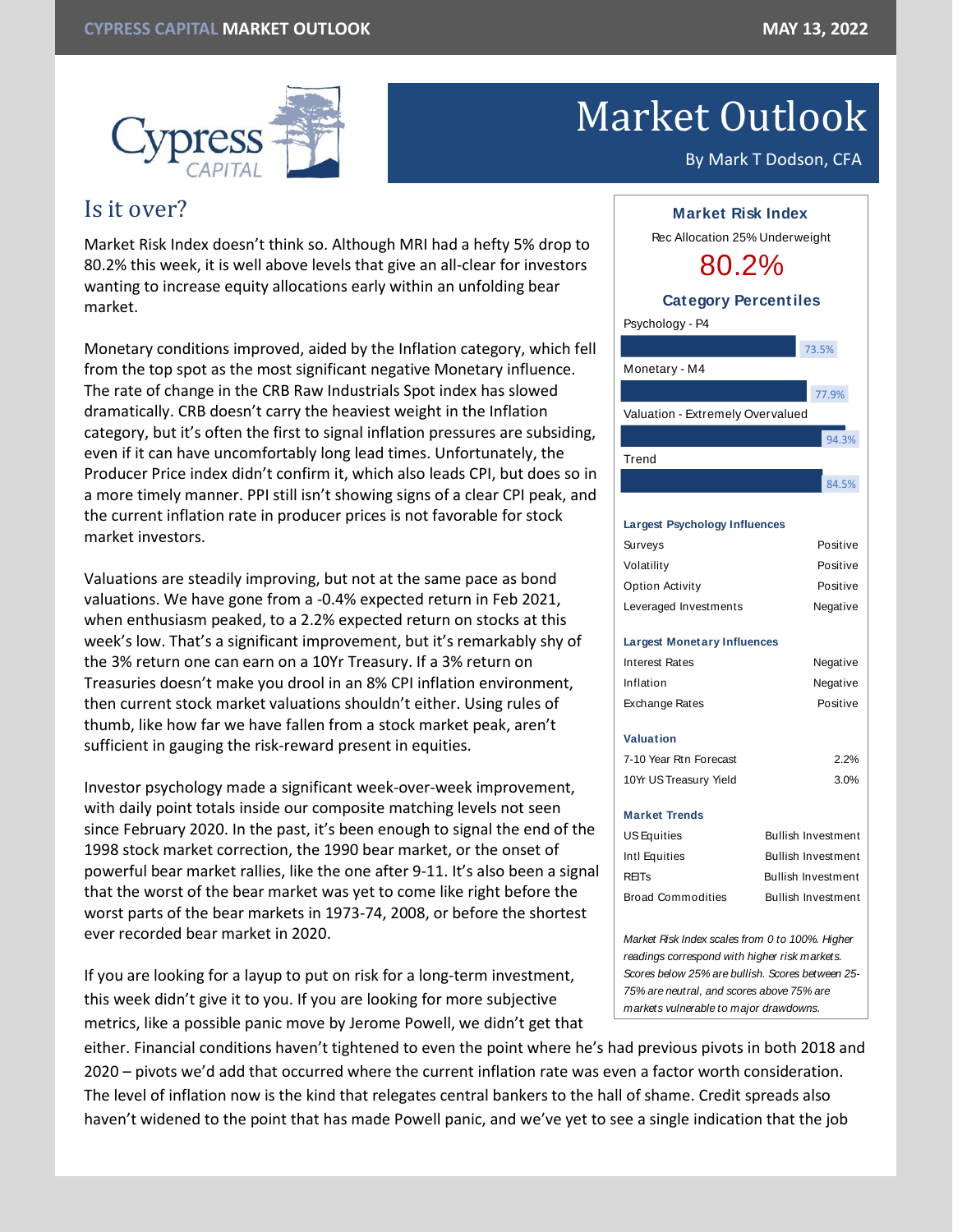

# Market Outlook

#### By Mark T Dodson, CFA

## Is it over?

Market Risk Index doesn't think so. Although MRI had a hefty 5% drop to 80.2% this week, it is well above levels that give an all-clear for investors wanting to increase equity allocations early within an unfolding bear market.

Monetary conditions improved, aided by the Inflation category, which fell from the top spot as the most significant negative Monetary influence. The rate of change in the CRB Raw Industrials Spot index has slowed dramatically. CRB doesn't carry the heaviest weight in the Inflation category, but it's often the first to signal inflation pressures are subsiding, even if it can have uncomfortably long lead times. Unfortunately, the Producer Price index didn't confirm it, which also leads CPI, but does so in a more timely manner. PPI still isn't showing signs of a clear CPI peak, and the current inflation rate in producer prices is not favorable for stock market investors.

Valuations are steadily improving, but not at the same pace as bond valuations. We have gone from a -0.4% expected return in Feb 2021, when enthusiasm peaked, to a 2.2% expected return on stocks at this week's low. That's a significant improvement, but it's remarkably shy of the 3% return one can earn on a 10Yr Treasury. If a 3% return on Treasuries doesn't make you drool in an 8% CPI inflation environment, then current stock market valuations shouldn't either. Using rules of thumb, like how far we have fallen from a stock market peak, aren't sufficient in gauging the risk-reward present in equities.

Investor psychology made a significant week-over-week improvement, with daily point totals inside our composite matching levels not seen since February 2020. In the past, it's been enough to signal the end of the 1998 stock market correction, the 1990 bear market, or the onset of powerful bear market rallies, like the one after 9-11. It's also been a signal that the worst of the bear market was yet to come like right before the worst parts of the bear markets in 1973-74, 2008, or before the shortest ever recorded bear market in 2020.

If you are looking for a layup to put on risk for a long-term investment, this week didn't give it to you. If you are looking for more subjective metrics, like a possible panic move by Jerome Powell, we didn't get that

either. Financial conditions haven't tightened to even the point where he's had previous pivots in both 2018 and 2020 – pivots we'd add that occurred where the current inflation rate was even a factor worth consideration. The level of inflation now is the kind that relegates central bankers to the hall of shame. Credit spreads also haven't widened to the point that has made Powell panic, and we've yet to see a single indication that the job



| Surveys                                         | Positive                  |
|-------------------------------------------------|---------------------------|
| Volatility                                      | Positive                  |
| Option Activity                                 | Positive                  |
| Leveraged Investments                           | Negative                  |
| <b>Largest Monetary Influences</b>              |                           |
| <b>Interest Rates</b>                           | Negative                  |
| Inflation                                       | Negative                  |
| Exchange Rates                                  | Positive                  |
| Valuation                                       |                           |
| 7-10 Year Rtn Forecast                          | 2.2%                      |
| 10Yr US Treasury Yield                          | 3.0%                      |
| <b>Market Trends</b>                            |                           |
| US Equities                                     | <b>Bullish Investment</b> |
| Intl Equities                                   | <b>Bullish Investment</b> |
| <b>REIT<sub>S</sub></b>                         | <b>Bullish Investment</b> |
| <b>Broad Commodities</b>                        | <b>Bullish Investment</b> |
| Market Risk Index scales from 0 to 100%. Higher |                           |

*readings correspond with higher risk markets. Scores below 25% are bullish. Scores between 25- 75% are neutral, and scores above 75% are markets vulnerable to major drawdowns.*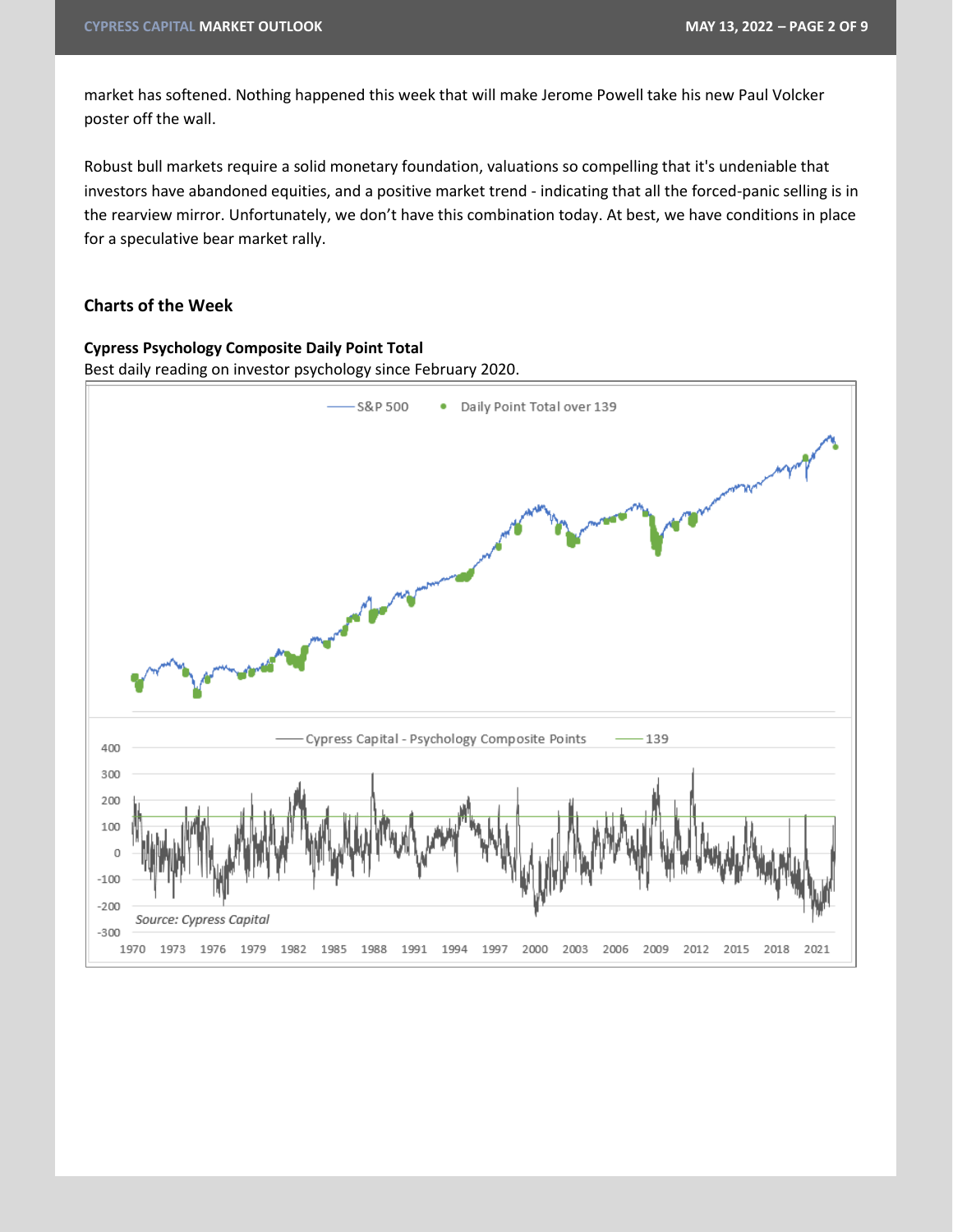market has softened. Nothing happened this week that will make Jerome Powell take his new Paul Volcker poster off the wall.

Robust bull markets require a solid monetary foundation, valuations so compelling that it's undeniable that investors have abandoned equities, and a positive market trend - indicating that all the forced-panic selling is in the rearview mirror. Unfortunately, we don't have this combination today. At best, we have conditions in place for a speculative bear market rally.

#### **Charts of the Week**

#### **Cypress Psychology Composite Daily Point Total**

Best daily reading on investor psychology since February 2020.

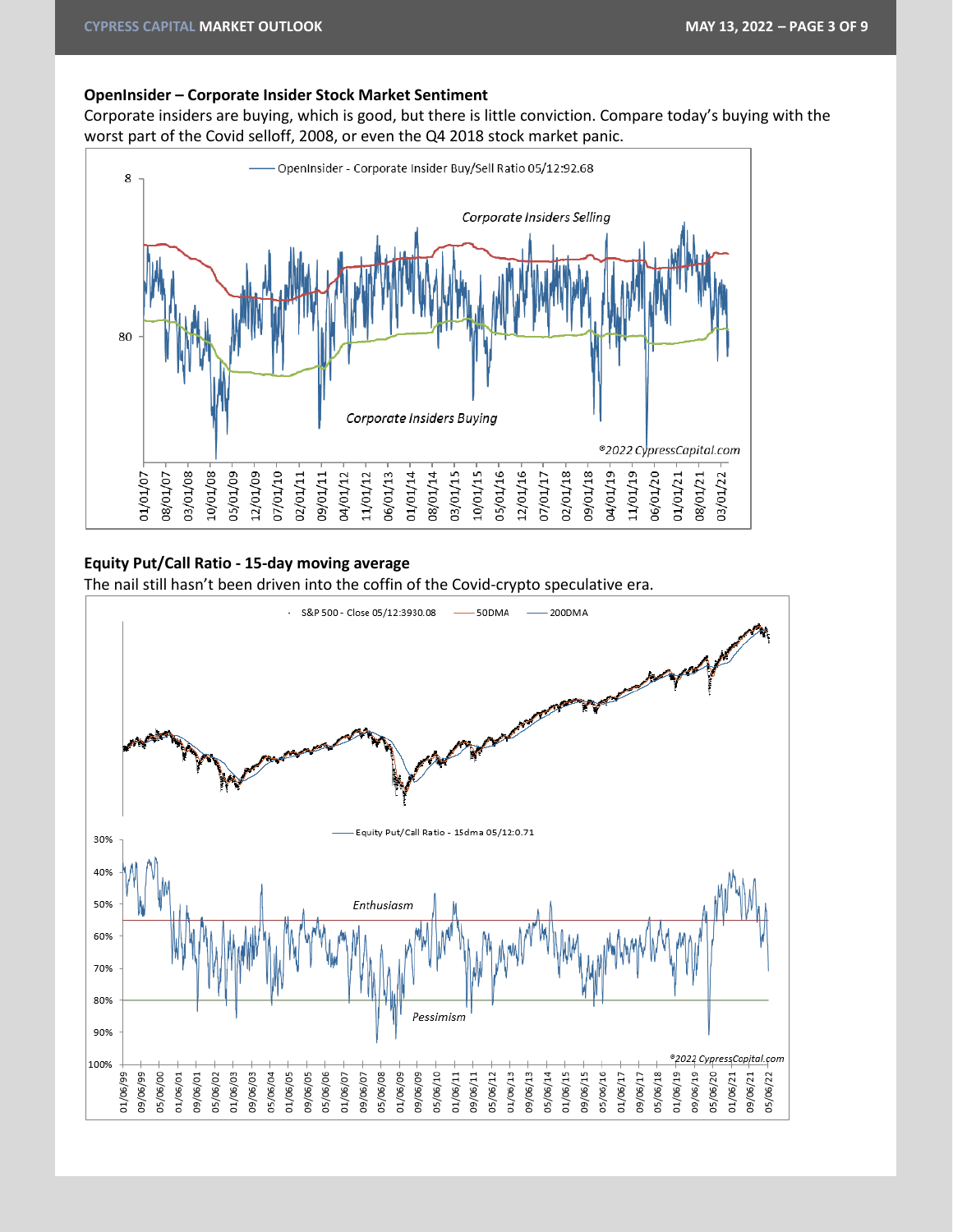#### **OpenInsider – Corporate Insider Stock Market Sentiment**

Corporate insiders are buying, which is good, but there is little conviction. Compare today's buying with the worst part of the Covid selloff, 2008, or even the Q4 2018 stock market panic.



#### **Equity Put/Call Ratio - 15-day moving average**

The nail still hasn't been driven into the coffin of the Covid-crypto speculative era.

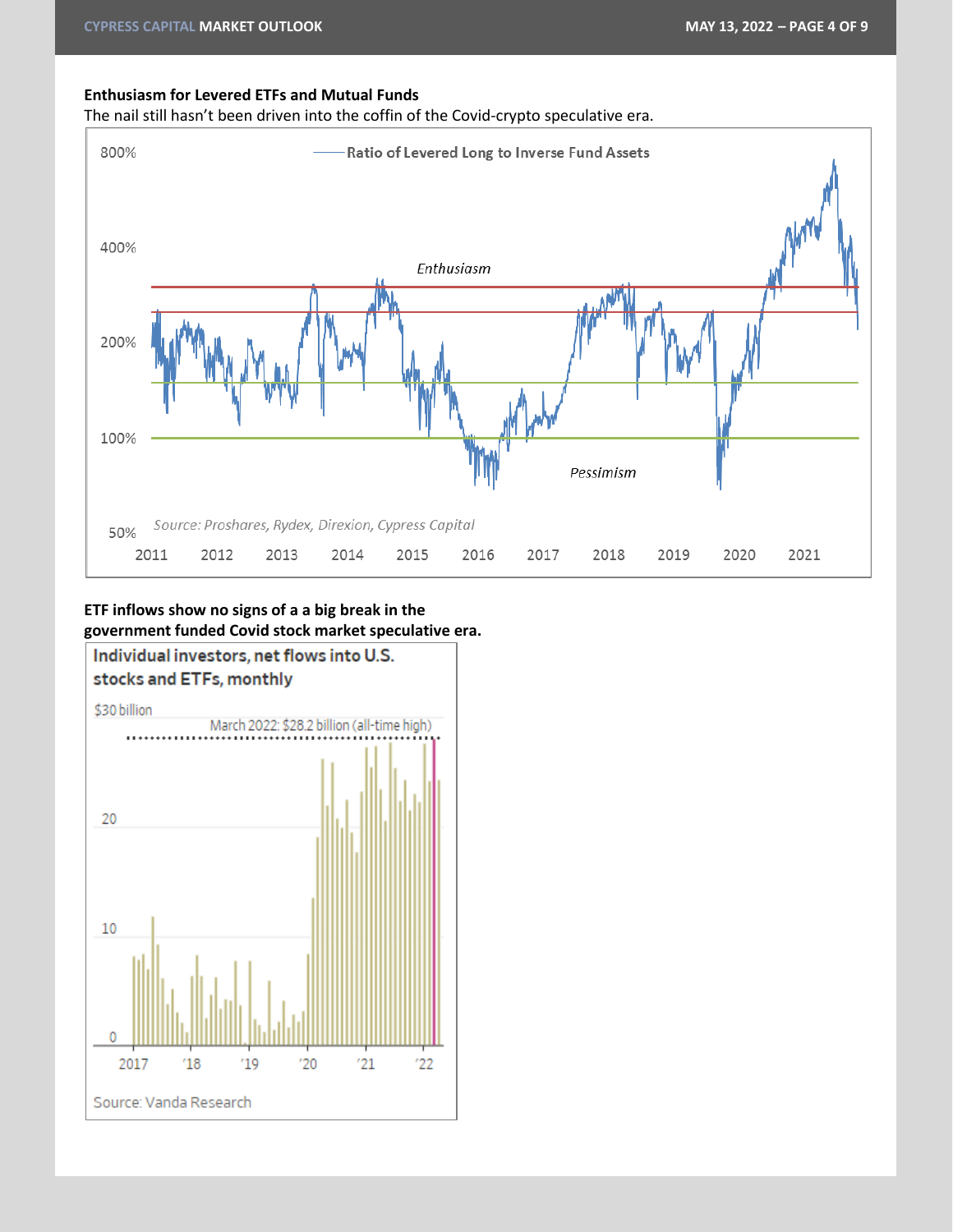#### **Enthusiasm for Levered ETFs and Mutual Funds**

The nail still hasn't been driven into the coffin of the Covid-crypto speculative era.



### **ETF inflows show no signs of a a big break in the government funded Covid stock market speculative era.**

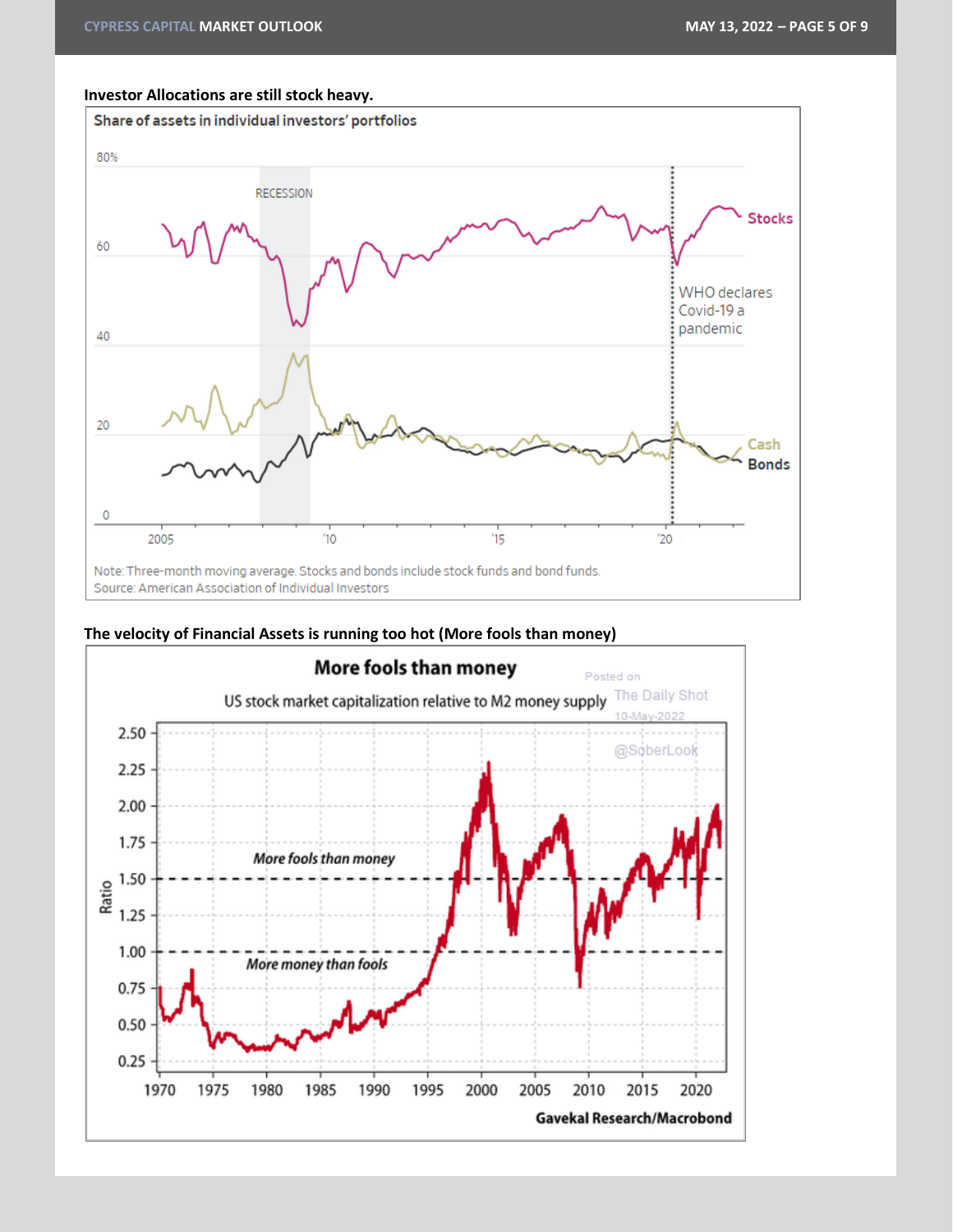#### **Investor Allocations are still stock heavy.**





#### **The velocity of Financial Assets is running too hot (More fools than money)**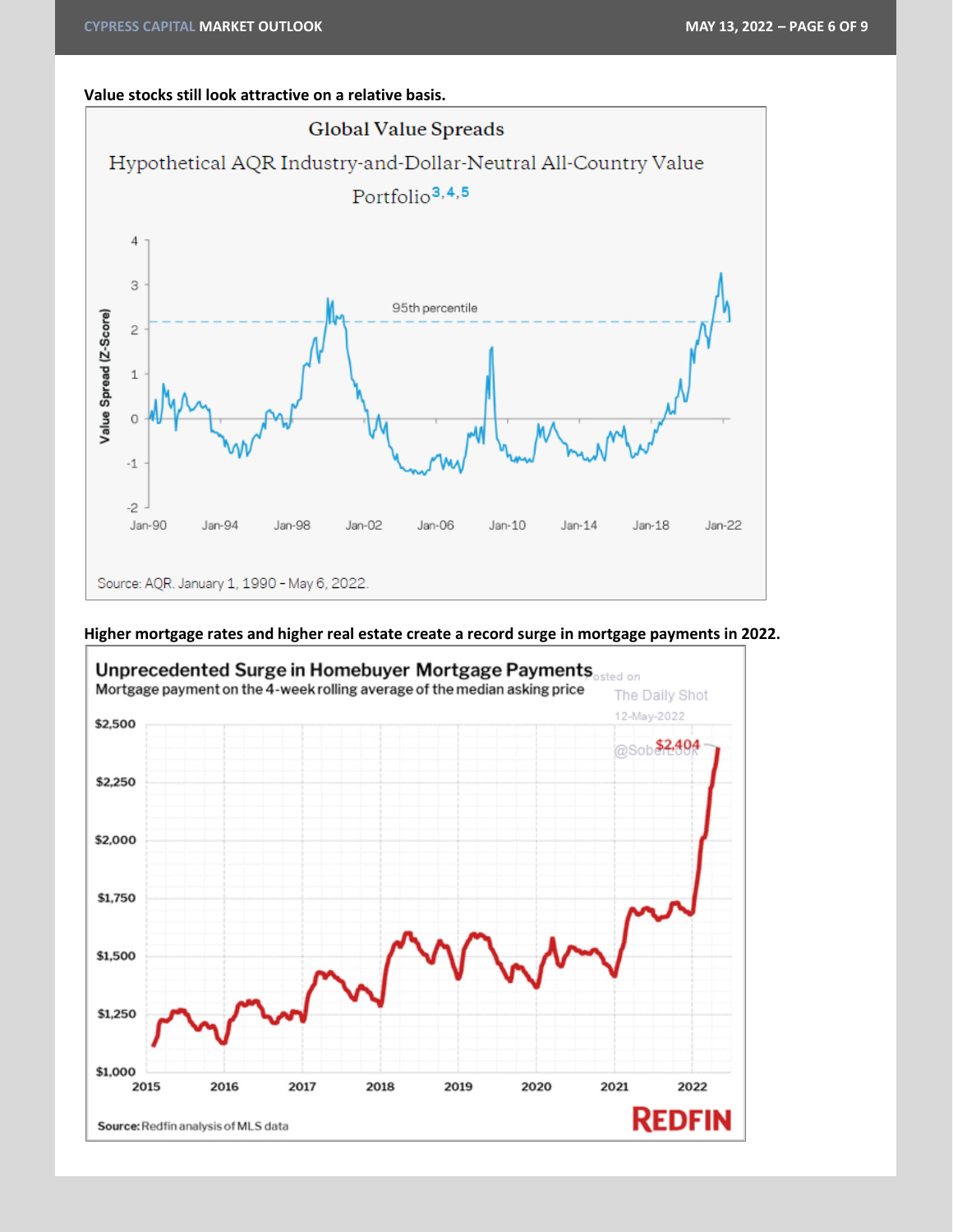#### **Value stocks still look attractive on a relative basis.**



#### **Higher mortgage rates and higher real estate create a record surge in mortgage payments in 2022.**

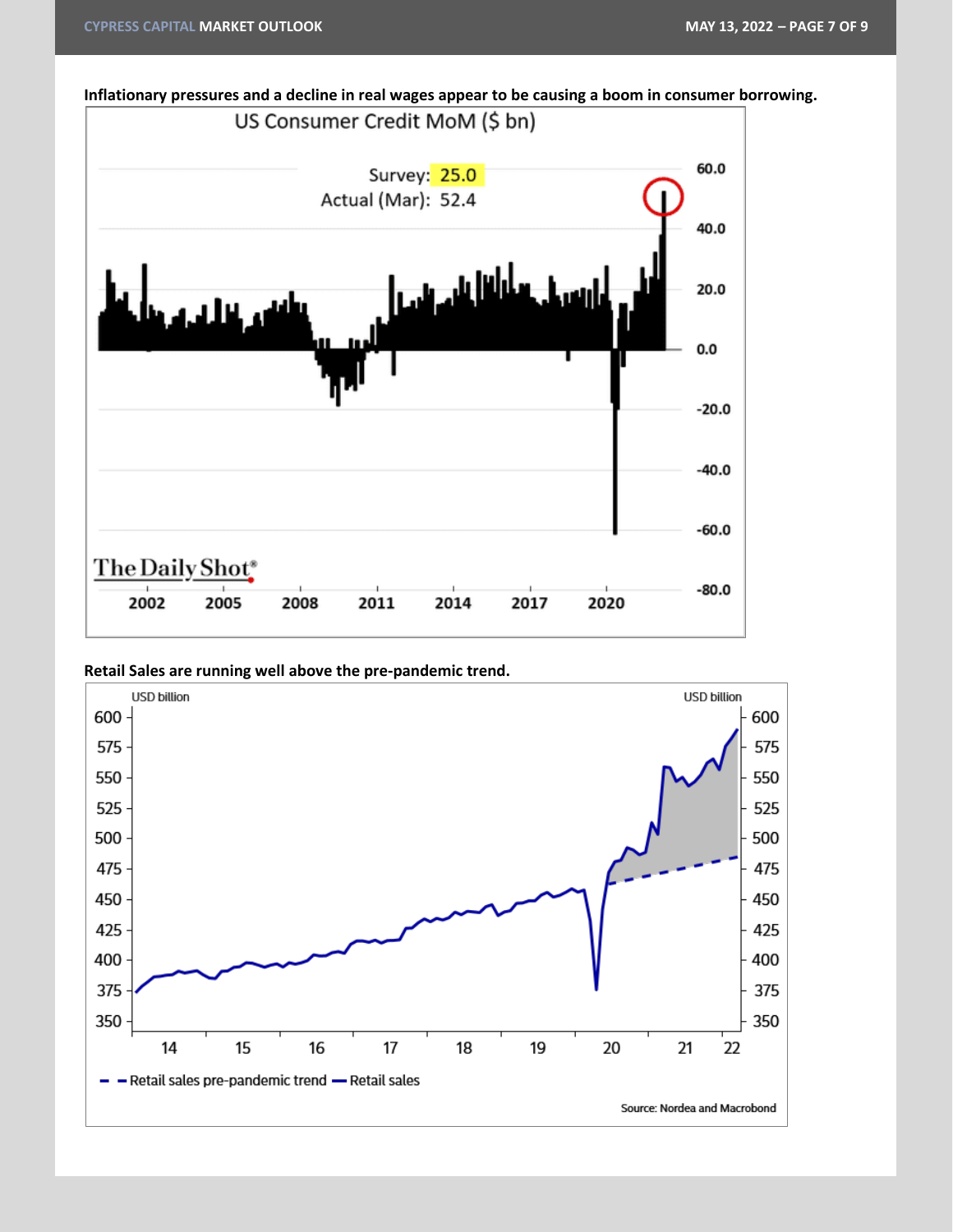



**Retail Sales are running well above the pre-pandemic trend.**

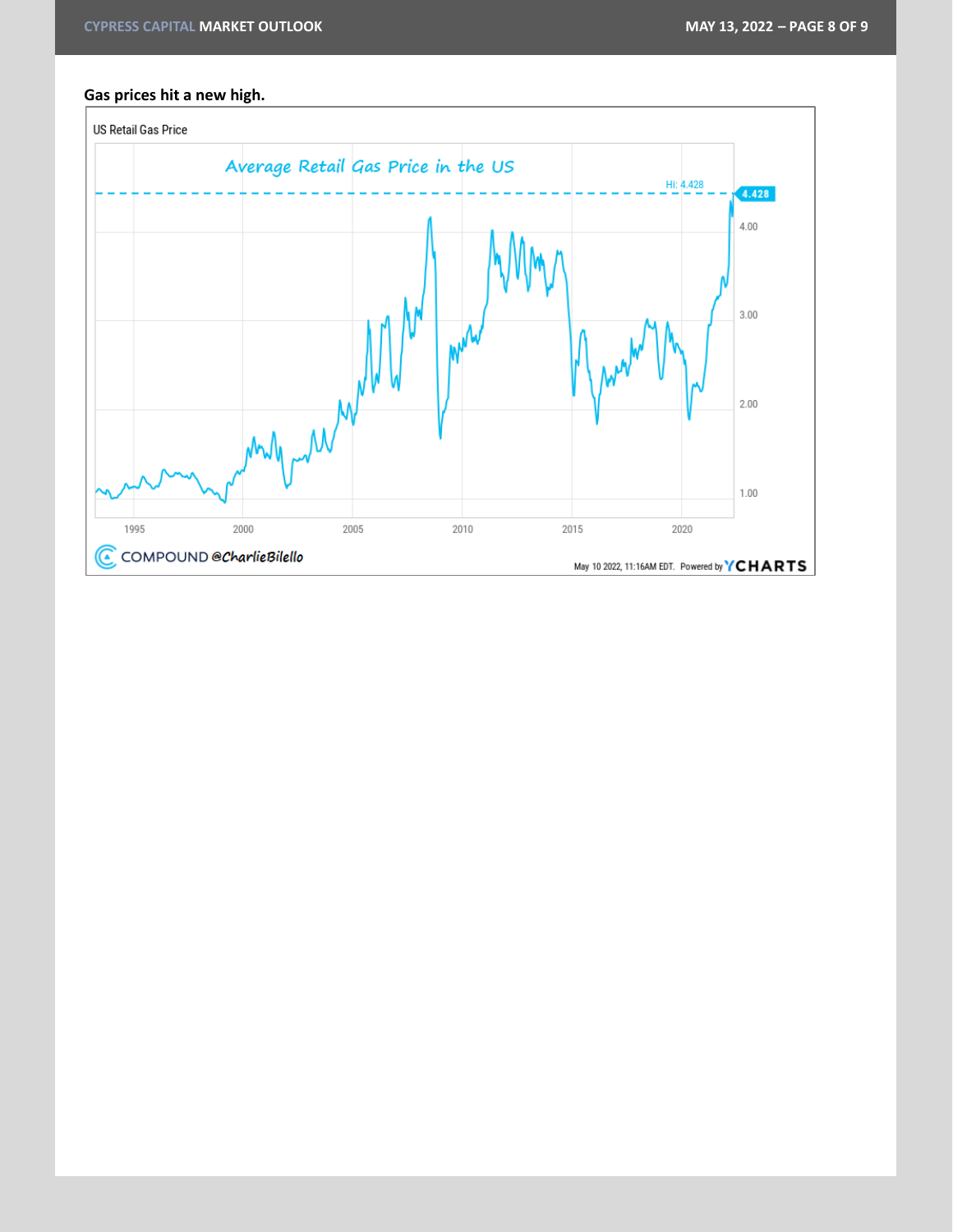#### **Gas prices hit a new high.**